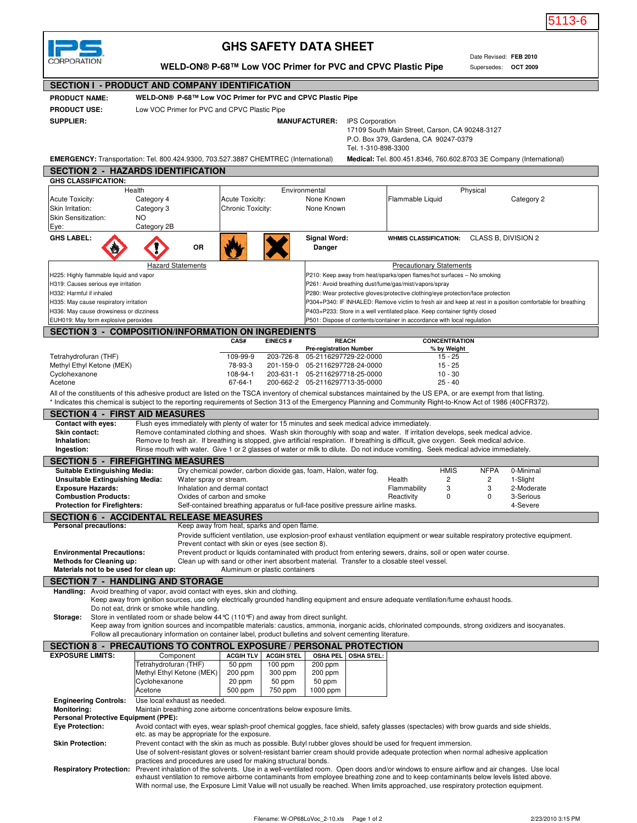

## **GHS SAFETY DATA SHEET**

## **SECTION I - PRODUCT AND COMPANY IDENTIFICATION WELD-ON® P-68™ Low VOC Primer for PVC and CPVC Plastic Pipe**

|                                                                                                                                                                                   |                                                                                                                                                                                                                                                                                                           |                                                                                     |                                                                                                                |                           |                                                |                                                                                                                                          |                                                                                                                                                       |                                                                                                                                                                                                                                                                             |                          |                  |                       | 5113-6            |
|-----------------------------------------------------------------------------------------------------------------------------------------------------------------------------------|-----------------------------------------------------------------------------------------------------------------------------------------------------------------------------------------------------------------------------------------------------------------------------------------------------------|-------------------------------------------------------------------------------------|----------------------------------------------------------------------------------------------------------------|---------------------------|------------------------------------------------|------------------------------------------------------------------------------------------------------------------------------------------|-------------------------------------------------------------------------------------------------------------------------------------------------------|-----------------------------------------------------------------------------------------------------------------------------------------------------------------------------------------------------------------------------------------------------------------------------|--------------------------|------------------|-----------------------|-------------------|
|                                                                                                                                                                                   |                                                                                                                                                                                                                                                                                                           |                                                                                     |                                                                                                                |                           |                                                |                                                                                                                                          |                                                                                                                                                       |                                                                                                                                                                                                                                                                             |                          |                  |                       |                   |
|                                                                                                                                                                                   | <b>GHS SAFETY DATA SHEET</b><br>Date Revised: FEB 2010                                                                                                                                                                                                                                                    |                                                                                     |                                                                                                                |                           |                                                |                                                                                                                                          |                                                                                                                                                       |                                                                                                                                                                                                                                                                             |                          |                  |                       |                   |
|                                                                                                                                                                                   | CORPORATION                                                                                                                                                                                                                                                                                               | WELD-ON® P-68™ Low VOC Primer for PVC and CPVC Plastic Pipe<br>Supersedes: OCT 2009 |                                                                                                                |                           |                                                |                                                                                                                                          |                                                                                                                                                       |                                                                                                                                                                                                                                                                             |                          |                  |                       |                   |
|                                                                                                                                                                                   | <b>SECTION I - PRODUCT AND COMPANY IDENTIFICATION</b>                                                                                                                                                                                                                                                     |                                                                                     |                                                                                                                |                           |                                                |                                                                                                                                          |                                                                                                                                                       |                                                                                                                                                                                                                                                                             |                          |                  |                       |                   |
|                                                                                                                                                                                   | WELD-ON® P-68™ Low VOC Primer for PVC and CPVC Plastic Pipe<br><b>PRODUCT NAME:</b>                                                                                                                                                                                                                       |                                                                                     |                                                                                                                |                           |                                                |                                                                                                                                          |                                                                                                                                                       |                                                                                                                                                                                                                                                                             |                          |                  |                       |                   |
|                                                                                                                                                                                   | <b>PRODUCT USE:</b>                                                                                                                                                                                                                                                                                       | Low VOC Primer for PVC and CPVC Plastic Pipe                                        |                                                                                                                |                           |                                                |                                                                                                                                          |                                                                                                                                                       |                                                                                                                                                                                                                                                                             |                          |                  |                       |                   |
|                                                                                                                                                                                   | <b>SUPPLIER:</b>                                                                                                                                                                                                                                                                                          | <b>MANUFACTURER:</b><br><b>IPS Corporation</b>                                      |                                                                                                                |                           |                                                |                                                                                                                                          |                                                                                                                                                       |                                                                                                                                                                                                                                                                             |                          |                  |                       |                   |
|                                                                                                                                                                                   |                                                                                                                                                                                                                                                                                                           |                                                                                     |                                                                                                                |                           | 17109 South Main Street, Carson, CA 90248-3127 |                                                                                                                                          |                                                                                                                                                       |                                                                                                                                                                                                                                                                             |                          |                  |                       |                   |
|                                                                                                                                                                                   |                                                                                                                                                                                                                                                                                                           |                                                                                     |                                                                                                                |                           |                                                |                                                                                                                                          |                                                                                                                                                       | P.O. Box 379, Gardena, CA 90247-0379<br>Tel. 1-310-898-3300                                                                                                                                                                                                                 |                          |                  |                       |                   |
| <b>EMERGENCY:</b> Transportation: Tel. 800.424.9300, 703.527.3887 CHEMTREC (International)                                                                                        |                                                                                                                                                                                                                                                                                                           |                                                                                     |                                                                                                                |                           |                                                |                                                                                                                                          |                                                                                                                                                       | Medical: Tel. 800.451.8346, 760.602.8703 3E Company (International)                                                                                                                                                                                                         |                          |                  |                       |                   |
|                                                                                                                                                                                   | <b>SECTION 2 - HAZARDS IDENTIFICATION</b>                                                                                                                                                                                                                                                                 |                                                                                     |                                                                                                                |                           |                                                |                                                                                                                                          |                                                                                                                                                       |                                                                                                                                                                                                                                                                             |                          |                  |                       |                   |
|                                                                                                                                                                                   | <b>GHS CLASSIFICATION:</b><br>Health                                                                                                                                                                                                                                                                      |                                                                                     |                                                                                                                |                           | Environmental                                  |                                                                                                                                          |                                                                                                                                                       |                                                                                                                                                                                                                                                                             |                          | Physical         |                       |                   |
|                                                                                                                                                                                   | <b>Acute Toxicity:</b>                                                                                                                                                                                                                                                                                    | Category 4                                                                          |                                                                                                                | <b>Acute Toxicity:</b>    |                                                | None Known                                                                                                                               |                                                                                                                                                       | Flammable Liquid                                                                                                                                                                                                                                                            |                          |                  | Category 2            |                   |
|                                                                                                                                                                                   | Skin Irritation:<br>Skin Sensitization:                                                                                                                                                                                                                                                                   | Category 3                                                                          |                                                                                                                | Chronic Toxicity:         |                                                | None Known                                                                                                                               |                                                                                                                                                       |                                                                                                                                                                                                                                                                             |                          |                  |                       |                   |
|                                                                                                                                                                                   | Eye:                                                                                                                                                                                                                                                                                                      | <b>NO</b><br>Category 2B                                                            |                                                                                                                |                           |                                                |                                                                                                                                          |                                                                                                                                                       |                                                                                                                                                                                                                                                                             |                          |                  |                       |                   |
|                                                                                                                                                                                   | <b>GHS LABEL:</b>                                                                                                                                                                                                                                                                                         |                                                                                     |                                                                                                                |                           |                                                | Signal Word:                                                                                                                             |                                                                                                                                                       | WHMIS CLASSIFICATION: CLASS B, DIVISION 2                                                                                                                                                                                                                                   |                          |                  |                       |                   |
|                                                                                                                                                                                   |                                                                                                                                                                                                                                                                                                           |                                                                                     | <b>OR</b>                                                                                                      |                           |                                                | Danger                                                                                                                                   |                                                                                                                                                       |                                                                                                                                                                                                                                                                             |                          |                  |                       |                   |
|                                                                                                                                                                                   |                                                                                                                                                                                                                                                                                                           | <b>Hazard Statements</b>                                                            |                                                                                                                |                           |                                                |                                                                                                                                          |                                                                                                                                                       | <b>Precautionary Statements</b>                                                                                                                                                                                                                                             |                          |                  |                       |                   |
|                                                                                                                                                                                   | H225: Highly flammable liquid and vapor                                                                                                                                                                                                                                                                   |                                                                                     |                                                                                                                |                           |                                                |                                                                                                                                          |                                                                                                                                                       | P210: Keep away from heat/sparks/open flames/hot surfaces - No smoking                                                                                                                                                                                                      |                          |                  |                       |                   |
|                                                                                                                                                                                   | H319: Causes serious eye irritation<br>H332: Harmful if inhaled                                                                                                                                                                                                                                           |                                                                                     |                                                                                                                |                           |                                                | P261: Avoid breathing dust/fume/gas/mist/vapors/spray<br>P280: Wear protective gloves/protective clothing/eye protection/face protection |                                                                                                                                                       |                                                                                                                                                                                                                                                                             |                          |                  |                       |                   |
|                                                                                                                                                                                   | H335: May cause respiratory irritation                                                                                                                                                                                                                                                                    |                                                                                     |                                                                                                                |                           |                                                |                                                                                                                                          |                                                                                                                                                       | P304+P340: IF INHALED: Remove victim to fresh air and keep at rest in a position comfortable for breathing                                                                                                                                                                  |                          |                  |                       |                   |
|                                                                                                                                                                                   |                                                                                                                                                                                                                                                                                                           | H336: May cause drowsiness or dizziness                                             |                                                                                                                |                           |                                                |                                                                                                                                          | P403+P233: Store in a well ventilated place. Keep container tightly closed<br>P501: Dispose of contents/container in accordance with local regulation |                                                                                                                                                                                                                                                                             |                          |                  |                       |                   |
|                                                                                                                                                                                   | EUH019: May form explosive peroxides<br><b>SECTION 3 - COMPOSITION/INFORMATION ON INGREDIENTS</b>                                                                                                                                                                                                         |                                                                                     |                                                                                                                |                           |                                                |                                                                                                                                          |                                                                                                                                                       |                                                                                                                                                                                                                                                                             |                          |                  |                       |                   |
|                                                                                                                                                                                   |                                                                                                                                                                                                                                                                                                           |                                                                                     |                                                                                                                | <b>CAS#</b>               | <b>EINECS#</b>                                 | <b>REACH</b>                                                                                                                             |                                                                                                                                                       |                                                                                                                                                                                                                                                                             | <b>CONCENTRATION</b>     |                  |                       |                   |
|                                                                                                                                                                                   | Tetrahydrofuran (THF)                                                                                                                                                                                                                                                                                     |                                                                                     |                                                                                                                | 109-99-9                  | 203-726-8                                      | <b>Pre-registration Number</b><br>05-2116297729-22-0000                                                                                  |                                                                                                                                                       |                                                                                                                                                                                                                                                                             | % by Weight<br>$15 - 25$ |                  |                       |                   |
|                                                                                                                                                                                   | Methyl Ethyl Ketone (MEK)                                                                                                                                                                                                                                                                                 |                                                                                     |                                                                                                                | 78-93-3                   | 201-159-0                                      | 05-2116297728-24-0000                                                                                                                    |                                                                                                                                                       |                                                                                                                                                                                                                                                                             | $15 - 25$                |                  |                       |                   |
|                                                                                                                                                                                   | Cyclohexanone<br>Acetone                                                                                                                                                                                                                                                                                  |                                                                                     |                                                                                                                | 108-94-1<br>$67 - 64 - 1$ |                                                | 203-631-1 05-2116297718-25-0000<br>200-662-2 05-2116297713-35-0000                                                                       |                                                                                                                                                       |                                                                                                                                                                                                                                                                             | $10 - 30$<br>$25 - 40$   |                  |                       |                   |
|                                                                                                                                                                                   | All of the constituents of this adhesive product are listed on the TSCA inventory of chemical substances maintained by the US EPA, or are exempt from that listing.                                                                                                                                       |                                                                                     |                                                                                                                |                           |                                                |                                                                                                                                          |                                                                                                                                                       |                                                                                                                                                                                                                                                                             |                          |                  |                       |                   |
|                                                                                                                                                                                   | * Indicates this chemical is subject to the reporting requirements of Section 313 of the Emergency Planning and Community Right-to-Know Act of 1986 (40CFR372).                                                                                                                                           |                                                                                     |                                                                                                                |                           |                                                |                                                                                                                                          |                                                                                                                                                       |                                                                                                                                                                                                                                                                             |                          |                  |                       |                   |
|                                                                                                                                                                                   | <b>SECTION 4 - FIRST AID MEASURES</b><br><b>Contact with eyes:</b>                                                                                                                                                                                                                                        |                                                                                     |                                                                                                                |                           |                                                |                                                                                                                                          |                                                                                                                                                       | Flush eyes immediately with plenty of water for 15 minutes and seek medical advice immediately.                                                                                                                                                                             |                          |                  |                       |                   |
|                                                                                                                                                                                   | Skin contact:                                                                                                                                                                                                                                                                                             |                                                                                     |                                                                                                                |                           |                                                |                                                                                                                                          |                                                                                                                                                       | Remove contaminated clothing and shoes. Wash skin thoroughly with soap and water. If irritation develops, seek medical advice.                                                                                                                                              |                          |                  |                       |                   |
|                                                                                                                                                                                   | Inhalation:<br>Ingestion:                                                                                                                                                                                                                                                                                 |                                                                                     |                                                                                                                |                           |                                                |                                                                                                                                          |                                                                                                                                                       | Remove to fresh air. If breathing is stopped, give artificial respiration. If breathing is difficult, give oxygen. Seek medical advice.<br>Rinse mouth with water. Give 1 or 2 glasses of water or milk to dilute. Do not induce vomiting. Seek medical advice immediately. |                          |                  |                       |                   |
|                                                                                                                                                                                   | <b>SECTION 5 - FIREFIGHTING MEASURES</b>                                                                                                                                                                                                                                                                  |                                                                                     |                                                                                                                |                           |                                                |                                                                                                                                          |                                                                                                                                                       |                                                                                                                                                                                                                                                                             |                          |                  |                       |                   |
|                                                                                                                                                                                   | <b>Suitable Extinguishing Media:</b><br><b>Unsuitable Extinguishing Media:</b>                                                                                                                                                                                                                            |                                                                                     | Dry chemical powder, carbon dioxide gas, foam, Halon, water fog.                                               |                           |                                                |                                                                                                                                          |                                                                                                                                                       | Health                                                                                                                                                                                                                                                                      | <b>HMIS</b><br>2         | <b>NFPA</b><br>2 | 0-Minimal<br>1-Slight |                   |
|                                                                                                                                                                                   | <b>Exposure Hazards:</b>                                                                                                                                                                                                                                                                                  |                                                                                     | Water spray or stream.<br>Inhalation and dermal contact                                                        |                           |                                                |                                                                                                                                          |                                                                                                                                                       | Flammability                                                                                                                                                                                                                                                                | 3                        | 3                | 2-Moderate            |                   |
|                                                                                                                                                                                   | <b>Combustion Products:</b><br><b>Protection for Firefighters:</b>                                                                                                                                                                                                                                        |                                                                                     | Oxides of carbon and smoke<br>Self-contained breathing apparatus or full-face positive pressure airline masks. |                           |                                                |                                                                                                                                          |                                                                                                                                                       | Reactivity                                                                                                                                                                                                                                                                  | $\mathbf 0$              | 0                | 3-Serious<br>4-Severe |                   |
|                                                                                                                                                                                   |                                                                                                                                                                                                                                                                                                           |                                                                                     |                                                                                                                |                           |                                                |                                                                                                                                          |                                                                                                                                                       |                                                                                                                                                                                                                                                                             |                          |                  |                       |                   |
|                                                                                                                                                                                   | <b>SECTION 6 - ACCIDENTAL RELEASE MEASURES</b><br><b>Personal precautions:</b><br>Keep away from heat, sparks and open flame.                                                                                                                                                                             |                                                                                     |                                                                                                                |                           |                                                |                                                                                                                                          |                                                                                                                                                       |                                                                                                                                                                                                                                                                             |                          |                  |                       |                   |
|                                                                                                                                                                                   | Provide sufficient ventilation, use explosion-proof exhaust ventilation equipment or wear suitable respiratory protective equipment.<br>Prevent contact with skin or eyes (see section 8).                                                                                                                |                                                                                     |                                                                                                                |                           |                                                |                                                                                                                                          |                                                                                                                                                       |                                                                                                                                                                                                                                                                             |                          |                  |                       |                   |
|                                                                                                                                                                                   | <b>Environmental Precautions:</b><br>Prevent product or liquids contaminated with product from entering sewers, drains, soil or open water course.                                                                                                                                                        |                                                                                     |                                                                                                                |                           |                                                |                                                                                                                                          |                                                                                                                                                       |                                                                                                                                                                                                                                                                             |                          |                  |                       |                   |
|                                                                                                                                                                                   | <b>Methods for Cleaning up:</b><br>Clean up with sand or other inert absorbent material. Transfer to a closable steel vessel.<br>Materials not to be used for clean up:<br>Aluminum or plastic containers                                                                                                 |                                                                                     |                                                                                                                |                           |                                                |                                                                                                                                          |                                                                                                                                                       |                                                                                                                                                                                                                                                                             |                          |                  |                       |                   |
|                                                                                                                                                                                   | <b>SECTION 7 - HANDLING AND STORAGE</b>                                                                                                                                                                                                                                                                   |                                                                                     |                                                                                                                |                           |                                                |                                                                                                                                          |                                                                                                                                                       |                                                                                                                                                                                                                                                                             |                          |                  |                       |                   |
|                                                                                                                                                                                   | Handling: Avoid breathing of vapor, avoid contact with eyes, skin and clothing.                                                                                                                                                                                                                           |                                                                                     |                                                                                                                |                           |                                                |                                                                                                                                          |                                                                                                                                                       |                                                                                                                                                                                                                                                                             |                          |                  |                       |                   |
|                                                                                                                                                                                   | Do not eat, drink or smoke while handling.                                                                                                                                                                                                                                                                |                                                                                     |                                                                                                                |                           |                                                |                                                                                                                                          |                                                                                                                                                       | Keep away from ignition sources, use only electrically grounded handling equipment and ensure adequate ventilation/fume exhaust hoods.                                                                                                                                      |                          |                  |                       |                   |
|                                                                                                                                                                                   | Storage:<br>Store in ventilated room or shade below $44^{\circ}C(110^{\circ}F)$ and away from direct sunlight.                                                                                                                                                                                            |                                                                                     |                                                                                                                |                           |                                                |                                                                                                                                          |                                                                                                                                                       |                                                                                                                                                                                                                                                                             |                          |                  |                       |                   |
|                                                                                                                                                                                   |                                                                                                                                                                                                                                                                                                           |                                                                                     |                                                                                                                |                           |                                                |                                                                                                                                          |                                                                                                                                                       | Keep away from ignition sources and incompatible materials: caustics, ammonia, inorganic acids, chlorinated compounds, strong oxidizers and isocyanates.                                                                                                                    |                          |                  |                       |                   |
| Follow all precautionary information on container label, product bulletins and solvent cementing literature.<br>SECTION 8 - PRECAUTIONS TO CONTROL EXPOSURE / PERSONAL PROTECTION |                                                                                                                                                                                                                                                                                                           |                                                                                     |                                                                                                                |                           |                                                |                                                                                                                                          |                                                                                                                                                       |                                                                                                                                                                                                                                                                             |                          |                  |                       |                   |
|                                                                                                                                                                                   | <b>EXPOSURE LIMITS:</b>                                                                                                                                                                                                                                                                                   | Component                                                                           |                                                                                                                | <b>ACGIH TLV</b>          | <b>ACGIH STEL</b>                              | <b>OSHA PEL</b>                                                                                                                          | <b>OSHA STEL:</b>                                                                                                                                     |                                                                                                                                                                                                                                                                             |                          |                  |                       |                   |
|                                                                                                                                                                                   |                                                                                                                                                                                                                                                                                                           | Tetrahydrofuran (THF)<br>Methyl Ethyl Ketone (MEK)                                  |                                                                                                                | 50 ppm<br>200 ppm         | $100$ ppm<br>300 ppm                           | 200 ppm<br>200 ppm                                                                                                                       |                                                                                                                                                       |                                                                                                                                                                                                                                                                             |                          |                  |                       |                   |
|                                                                                                                                                                                   |                                                                                                                                                                                                                                                                                                           | Cyclohexanone                                                                       |                                                                                                                | 20 ppm                    | 50 ppm                                         | 50 ppm                                                                                                                                   |                                                                                                                                                       |                                                                                                                                                                                                                                                                             |                          |                  |                       |                   |
|                                                                                                                                                                                   | <b>Engineering Controls:</b>                                                                                                                                                                                                                                                                              | Acetone                                                                             |                                                                                                                | 500 ppm                   | 750 ppm                                        | 1000 ppm                                                                                                                                 |                                                                                                                                                       |                                                                                                                                                                                                                                                                             |                          |                  |                       |                   |
|                                                                                                                                                                                   | Use local exhaust as needed.<br><b>Monitoring:</b><br>Maintain breathing zone airborne concentrations below exposure limits.                                                                                                                                                                              |                                                                                     |                                                                                                                |                           |                                                |                                                                                                                                          |                                                                                                                                                       |                                                                                                                                                                                                                                                                             |                          |                  |                       |                   |
|                                                                                                                                                                                   | <b>Personal Protective Equipment (PPE):</b><br><b>Eye Protection:</b><br>Avoid contact with eyes, wear splash-proof chemical goggles, face shield, safety glasses (spectacles) with brow guards and side shields,                                                                                         |                                                                                     |                                                                                                                |                           |                                                |                                                                                                                                          |                                                                                                                                                       |                                                                                                                                                                                                                                                                             |                          |                  |                       |                   |
|                                                                                                                                                                                   |                                                                                                                                                                                                                                                                                                           | etc. as may be appropriate for the exposure.                                        |                                                                                                                |                           |                                                |                                                                                                                                          |                                                                                                                                                       |                                                                                                                                                                                                                                                                             |                          |                  |                       |                   |
|                                                                                                                                                                                   | <b>Skin Protection:</b>                                                                                                                                                                                                                                                                                   |                                                                                     |                                                                                                                |                           |                                                |                                                                                                                                          |                                                                                                                                                       | Prevent contact with the skin as much as possible. Butyl rubber gloves should be used for frequent immersion.<br>Use of solvent-resistant gloves or solvent-resistant barrier cream should provide adequate protection when normal adhesive application                     |                          |                  |                       |                   |
|                                                                                                                                                                                   |                                                                                                                                                                                                                                                                                                           | practices and procedures are used for making structural bonds.                      |                                                                                                                |                           |                                                |                                                                                                                                          |                                                                                                                                                       |                                                                                                                                                                                                                                                                             |                          |                  |                       |                   |
|                                                                                                                                                                                   | Respiratory Protection: Prevent inhalation of the solvents. Use in a well-ventilated room. Open doors and/or windows to ensure airflow and air changes. Use local<br>exhaust ventilation to remove airborne contaminants from employee breathing zone and to keep contaminants below levels listed above. |                                                                                     |                                                                                                                |                           |                                                |                                                                                                                                          |                                                                                                                                                       |                                                                                                                                                                                                                                                                             |                          |                  |                       |                   |
|                                                                                                                                                                                   |                                                                                                                                                                                                                                                                                                           |                                                                                     |                                                                                                                |                           |                                                |                                                                                                                                          |                                                                                                                                                       | With normal use, the Exposure Limit Value will not usually be reached. When limits approached, use respiratory protection equipment.                                                                                                                                        |                          |                  |                       |                   |
|                                                                                                                                                                                   |                                                                                                                                                                                                                                                                                                           |                                                                                     |                                                                                                                |                           |                                                |                                                                                                                                          |                                                                                                                                                       |                                                                                                                                                                                                                                                                             |                          |                  |                       |                   |
|                                                                                                                                                                                   |                                                                                                                                                                                                                                                                                                           |                                                                                     |                                                                                                                |                           |                                                |                                                                                                                                          |                                                                                                                                                       |                                                                                                                                                                                                                                                                             |                          |                  |                       |                   |
|                                                                                                                                                                                   |                                                                                                                                                                                                                                                                                                           |                                                                                     |                                                                                                                |                           |                                                | Filename: W-OP68LoVoc 2-10.xls  Page 1 of 2                                                                                              |                                                                                                                                                       |                                                                                                                                                                                                                                                                             |                          |                  |                       | 2/23/2010 3:15 PM |